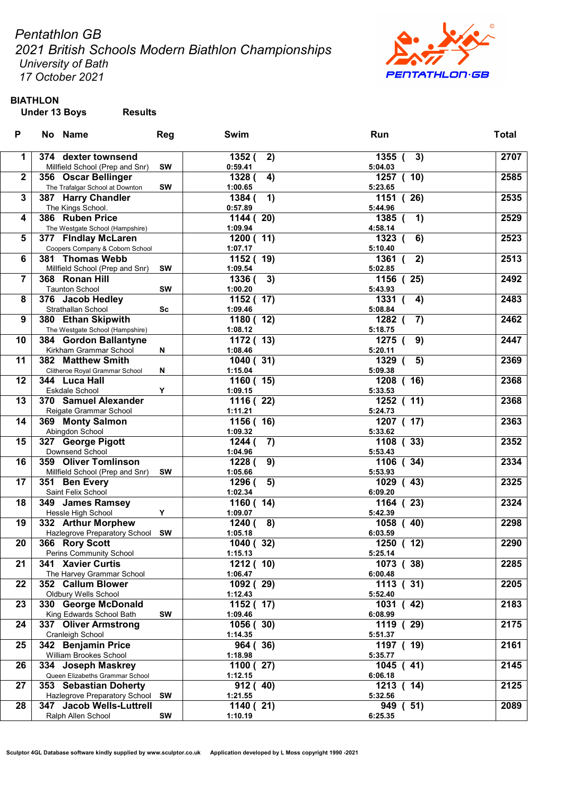Pentathlon GB

2021 British Schools Modern Biathlon Championships University of Bath

17 October 2021



# BIATHLON

Under 13 Boys Results

| P                | No Name                          | Reg       | Swim         | Run                         | <b>Total</b> |
|------------------|----------------------------------|-----------|--------------|-----------------------------|--------------|
| 1                | 374 dexter townsend              |           | 1352 (<br>2) | $1355$ (<br>3)              | 2707         |
|                  | Millfield School (Prep and Snr)  | <b>SW</b> | 0:59.41      | 5:04.03                     |              |
| $\boldsymbol{2}$ | 356 Oscar Bellinger              |           | 1328 (<br>4) | 1257 ( 10)                  | 2585         |
|                  | The Trafalgar School at Downton  | <b>SW</b> | 1:00.65      | 5:23.65                     |              |
| 3                | 387 Harry Chandler               |           | 1)<br>1384 ( | 1151 (26)                   | 2535         |
|                  | The Kings School.                |           | 0:57.89      | 5:44.96                     |              |
| 4                | 386 Ruben Price                  |           | 1144(20)     | $1385$ (<br>1)              | 2529         |
|                  | The Westgate School (Hampshire)  |           | 1:09.94      | 4:58.14                     |              |
| 5                | 377 Findlay McLaren              |           | 1200(11)     | 1323 (<br>6)                | 2523         |
|                  | Coopers Company & Coborn School  |           | 1:07.17      | 5:10.40                     |              |
| 6                | 381 Thomas Webb                  |           | 1152 ( 19)   | 1361<br>2)                  | 2513         |
|                  | Millfield School (Prep and Snr)  | <b>SW</b> | 1:09.54      | 5:02.85                     |              |
| 7                | 368 Ronan Hill                   |           | 3)<br>1336 ( | 1156 (25)                   | 2492         |
|                  | <b>Taunton School</b>            | <b>SW</b> | 1:00.20      | 5:43.93                     |              |
| 8                | 376 Jacob Hedley                 |           | 1152 ( 17)   | 1331 (<br>4)                | 2483         |
|                  | Strathallan School               | <b>Sc</b> | 1:09.46      | 5:08.84                     |              |
| 9                | 380 Ethan Skipwith               |           | 1180 (12)    | 1282 (<br>$\left( 7\right)$ | 2462         |
|                  | The Westgate School (Hampshire)  |           | 1:08.12      | 5:18.75                     |              |
| 10               | 384 Gordon Ballantyne            |           | 1172 ( 13)   | 1275 (<br>9)                | 2447         |
|                  | Kirkham Grammar School           | N         | 1:08.46      | 5:20.11                     |              |
| 11               | 382 Matthew Smith                |           | 1040(31)     | 5)<br>1329<br>$\epsilon$    | 2369         |
|                  | Clitheroe Royal Grammar School   | N         | 1:15.04      | 5:09.38                     |              |
| 12               | 344 Luca Hall                    |           | 1160(15)     | 1208 ( 16)                  | 2368         |
|                  | Eskdale School                   | Y         | 1:09.15      | 5:33.53                     |              |
| 13               | 370 Samuel Alexander             |           | 1116 (22)    | 1252 ( 11)                  | 2368         |
|                  | Reigate Grammar School           |           | 1:11.21      | 5:24.73                     |              |
| 14               | 369 Monty Salmon                 |           | 1156 (16)    | 1207 (17)                   | 2363         |
|                  | Abingdon School                  |           | 1:09.32      | 5:33.62                     |              |
| 15               | 327 George Pigott                |           | 1244 (<br>7) | 1108 (33)                   | 2352         |
|                  | Downsend School                  |           | 1:04.96      | 5:53.43                     |              |
| 16               | 359 Oliver Tomlinson             |           | 9)<br>1228 ( | (34)<br>1106                | 2334         |
|                  | Millfield School (Prep and Snr)  | <b>SW</b> | 1:05.66      | 5:53.93                     |              |
| 17               | 351 Ben Every                    |           | 5)<br>1296 ( | (43)<br>1029                | 2325         |
|                  | Saint Felix School               |           | 1:02.34      | 6:09.20                     |              |
| 18               | 349 James Ramsey                 |           | 1160(14)     | 1164 (23)                   | 2324         |
|                  | Hessle High School               | Υ         | 1:09.07      | 5:42.39                     |              |
| 19               | 332 Arthur Morphew               |           | 1240(<br>8)  | 1058 (40)                   | 2298         |
|                  | Hazlegrove Preparatory School SW |           | 1:05.18      | 6:03.59                     |              |
| 20               | 366 Rory Scott                   |           | 1040 (32)    | 1250(12)                    | 2290         |
|                  | Perins Community School          |           | 1:15.13      | 5:25.14                     |              |
| 21               | 341 Xavier Curtis                |           | 1212 ( 10)   | 1073 (38)                   | 2285         |
|                  | The Harvey Grammar School        |           | 1:06.47      | 6:00.48                     |              |
| 22               | 352 Callum Blower                |           | 1092 (29)    | 1113(31)                    | 2205         |
|                  | Oldbury Wells School             |           | 1:12.43      | 5:52.40                     |              |
| 23               | 330 George McDonald              |           | 1152 (17)    | 42)<br>1031<br>$\left($     | 2183         |
|                  | King Edwards School Bath         | <b>SW</b> | 1:09.46      | 6:08.99                     |              |
| 24               | 337 Oliver Armstrong             |           | 1056(30)     | 1119 (29)                   | 2175         |
|                  | Cranleigh School                 |           | 1:14.35      | 5:51.37                     |              |
| 25               | 342 Benjamin Price               |           | 964 (36)     | 1197 (19)                   | 2161         |
|                  | William Brookes School           |           | 1:18.98      | 5:35.77                     |              |
| 26               | 334 Joseph Maskrey               |           | 1100 (27)    | 1045(41)                    | 2145         |
|                  | Queen Elizabeths Grammar School  |           | 1:12.15      | 6:06.18                     |              |
| 27               | 353 Sebastian Doherty            |           | 912 (40)     | 1213 ( 14)                  | 2125         |
|                  | Hazlegrove Preparatory School SW |           | 1:21.55      | 5:32.56                     |              |
| 28               | 347 Jacob Wells-Luttrell         |           | 1140(21)     | (51)<br>949                 | 2089         |
|                  | Ralph Allen School               | SW        | 1:10.19      | 6:25.35                     |              |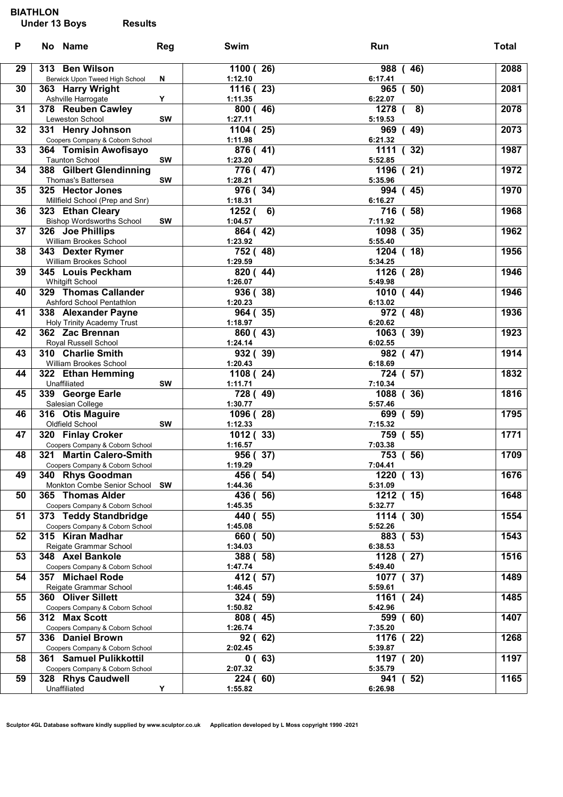#### BIATHLON

## Under 13 Boys Results

| Results |  |
|---------|--|
|         |  |
|         |  |
|         |  |

| P  | No Name                                    | Reg       | Swim                | Run                     | <b>Total</b> |
|----|--------------------------------------------|-----------|---------------------|-------------------------|--------------|
| 29 | 313 Ben Wilson                             |           | 1100 (26)           | 988 (46)                | 2088         |
|    | Berwick Upon Tweed High School             | N         | 1:12.10             | 6:17.41                 |              |
| 30 | 363 Harry Wright                           |           | 1116 (23)           | 965 ( 50)               | 2081         |
|    | Ashville Harrogate                         | Υ         | 1:11.35             | 6:22.07                 |              |
| 31 | 378 Reuben Cawley                          |           | 800(46)             | 1278 (<br>8)            | 2078         |
|    | Leweston School                            | SW        | 1:27.11             | 5:19.53                 |              |
| 32 | 331 Henry Johnson                          |           | 1104(25)            | 969 (49)                | 2073         |
|    | Coopers Company & Coborn School            |           | 1:11.98             | 6:21.32                 |              |
| 33 | 364 Tomisin Awofisayo                      |           | 876 (41)            | 1111 (32)               | 1987         |
|    | <b>Taunton School</b>                      | <b>SW</b> | 1:23.20             | 5:52.85                 |              |
| 34 | 388 Gilbert Glendinning                    |           | 776 (47)            | $\overline{1196}$ (21)  | 1972         |
|    | Thomas's Battersea                         | <b>SW</b> | 1:28.21             | 5:35.96                 |              |
| 35 | 325 Hector Jones                           |           | 976 (34)            | 994 (45)                | 1970         |
|    | Millfield School (Prep and Snr)            |           | 1:18.31             | 6:16.27                 |              |
| 36 | 323 Ethan Cleary                           |           | 1252(6)             | 716 (58)                | 1968         |
| 37 | <b>Bishop Wordsworths School</b>           | <b>SW</b> | 1:04.57             | 7:11.92                 | 1962         |
|    | 326 Joe Phillips<br>William Brookes School |           | 864 (42)<br>1:23.92 | 1098 (35)<br>5:55.40    |              |
| 38 | 343 Dexter Rymer                           |           | 752 (48)            | $1204$ (18)             | 1956         |
|    | William Brookes School                     |           | 1:29.59             | 5:34.25                 |              |
| 39 | 345 Louis Peckham                          |           | 820 (44)            | 1126 (28)               | 1946         |
|    | <b>Whitgift School</b>                     |           | 1:26.07             | 5:49.98                 |              |
| 40 | 329 Thomas Callander                       |           | 936 (38)            | 1010 (44)               | 1946         |
|    | Ashford School Pentathlon                  |           | 1:20.23             | 6:13.02                 |              |
| 41 | 338 Alexander Payne                        |           | 964 (35)            | 972 (48)                | 1936         |
|    | Holy Trinity Academy Trust                 |           | 1:18.97             | 6:20.62                 |              |
| 42 | 362 Zac Brennan                            |           | 860 (43)            | 1063 (39)               | 1923         |
|    | Royal Russell School                       |           | 1:24.14             | 6:02.55                 |              |
| 43 | 310 Charlie Smith                          |           | 932 (39)            | 982 (47)                | 1914         |
|    | William Brookes School                     |           | 1:20.43             | 6:18.69                 |              |
| 44 | 322 Ethan Hemming                          |           | 1108 (24)           | 724 ( 57)               | 1832         |
|    | Unaffiliated                               | SW        | 1:11.71             | 7:10.34<br>(36)<br>1088 | 1816         |
| 45 | 339 George Earle<br>Salesian College       |           | 728 (49)<br>1:30.77 | 5:57.46                 |              |
| 46 | 316 Otis Maguire                           |           | 1096 (28)           | (59)<br>699             | 1795         |
|    | Oldfield School                            | SW        | 1:12.33             | 7:15.32                 |              |
| 47 | 320 Finlay Croker                          |           | 1012 (33)           | 759 ( 55)               | 1771         |
|    | Coopers Company & Coborn School            |           | 1:16.57             | 7:03.38                 |              |
| 48 | 321 Martin Calero-Smith                    |           | 956 (37)            | 753 ( 56)               | 1709         |
|    | Coopers Company & Coborn School            |           | 1:19.29             | 7:04.41                 |              |
| 49 | 340 Rhys Goodman                           |           | 456 (54)            | 1220 ( 13)              | 1676         |
|    | Monkton Combe Senior School SW             |           | 1:44.36             | 5:31.09                 |              |
| 50 | 365 Thomas Alder                           |           | 436 (56)            | 1212 ( 15)              | 1648         |
|    | Coopers Company & Coborn School            |           | 1:45.35             | 5:32.77                 |              |
| 51 | 373 Teddy Standbridge                      |           | 440 (55)            | 1114<br>30)             | 1554         |
|    | Coopers Company & Coborn School            |           | 1:45.08             | 5:52.26                 |              |
| 52 | 315 Kiran Madhar                           |           | 660(<br>50)         | 883 (53)                | 1543         |
| 53 | Reigate Grammar School<br>348 Axel Bankole |           | 1:34.03<br>388 (58) | 6:38.53<br>1128 (27)    | 1516         |
|    | Coopers Company & Coborn School            |           | 1:47.74             | 5:49.40                 |              |
| 54 | 357 Michael Rode                           |           | 412 (57)            | 1077 (37)               | 1489         |
|    | Reigate Grammar School                     |           | 1:46.45             | 5:59.61                 |              |
| 55 | 360 Oliver Sillett                         |           | 324 (59)            | 1161<br>(24)            | 1485         |
|    | Coopers Company & Coborn School            |           | 1:50.82             | 5:42.96                 |              |
| 56 | 312 Max Scott                              |           | 808 (45)            | (60)<br>599             | 1407         |
|    | Coopers Company & Coborn School            |           | 1:26.74             | 7:35.20                 |              |
| 57 | 336 Daniel Brown                           |           | 92 (<br>62)         | 1176<br>(22)            | 1268         |
|    | Coopers Company & Coborn School            |           | 2:02.45             | 5:39.87                 |              |
| 58 | 361 Samuel Pulikkottil                     |           | 0(63)               | 1197 (20)               | 1197         |
|    | Coopers Company & Coborn School            |           | 2:07.32             | 5:35.79                 |              |
| 59 | 328 Rhys Caudwell                          |           | 224 (60)            | 941<br>(52)             | 1165         |
|    | Unaffiliated                               | Y         | 1:55.82             | 6:26.98                 |              |